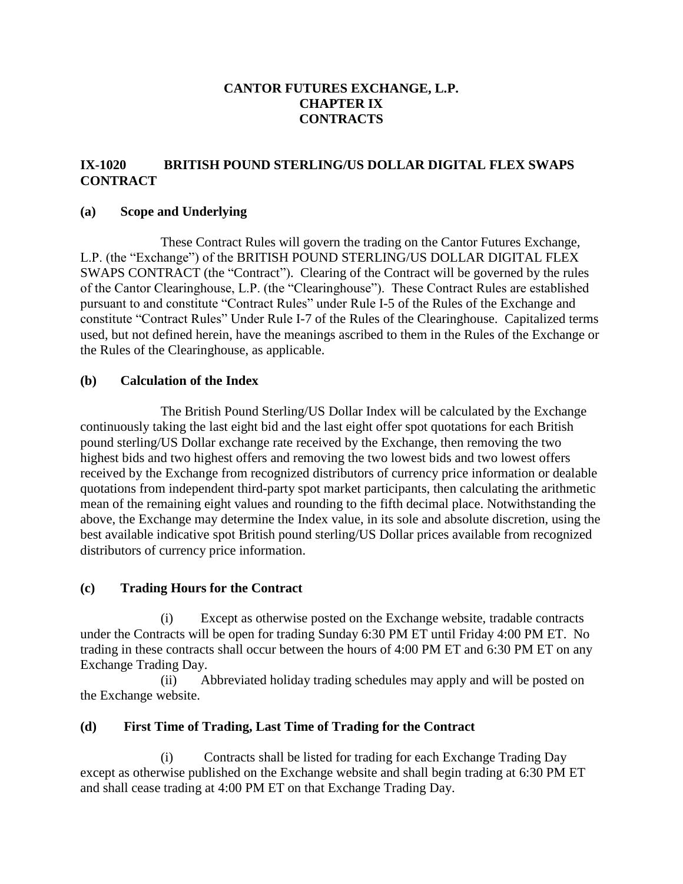### **CANTOR FUTURES EXCHANGE, L.P. CHAPTER IX CONTRACTS**

### **IX-1020 BRITISH POUND STERLING/US DOLLAR DIGITAL FLEX SWAPS CONTRACT**

#### **(a) Scope and Underlying**

These Contract Rules will govern the trading on the Cantor Futures Exchange, L.P. (the "Exchange") of the BRITISH POUND STERLING/US DOLLAR DIGITAL FLEX SWAPS CONTRACT (the "Contract"). Clearing of the Contract will be governed by the rules of the Cantor Clearinghouse, L.P. (the "Clearinghouse"). These Contract Rules are established pursuant to and constitute "Contract Rules" under Rule I-5 of the Rules of the Exchange and constitute "Contract Rules" Under Rule I-7 of the Rules of the Clearinghouse. Capitalized terms used, but not defined herein, have the meanings ascribed to them in the Rules of the Exchange or the Rules of the Clearinghouse, as applicable.

#### **(b) Calculation of the Index**

The British Pound Sterling/US Dollar Index will be calculated by the Exchange continuously taking the last eight bid and the last eight offer spot quotations for each British pound sterling/US Dollar exchange rate received by the Exchange, then removing the two highest bids and two highest offers and removing the two lowest bids and two lowest offers received by the Exchange from recognized distributors of currency price information or dealable quotations from independent third-party spot market participants, then calculating the arithmetic mean of the remaining eight values and rounding to the fifth decimal place. Notwithstanding the above, the Exchange may determine the Index value, in its sole and absolute discretion, using the best available indicative spot British pound sterling/US Dollar prices available from recognized distributors of currency price information.

#### **(c) Trading Hours for the Contract**

(i) Except as otherwise posted on the Exchange website, tradable contracts under the Contracts will be open for trading Sunday 6:30 PM ET until Friday 4:00 PM ET. No trading in these contracts shall occur between the hours of 4:00 PM ET and 6:30 PM ET on any Exchange Trading Day.

(ii) Abbreviated holiday trading schedules may apply and will be posted on the Exchange website.

#### **(d) First Time of Trading, Last Time of Trading for the Contract**

(i) Contracts shall be listed for trading for each Exchange Trading Day except as otherwise published on the Exchange website and shall begin trading at 6:30 PM ET and shall cease trading at 4:00 PM ET on that Exchange Trading Day.